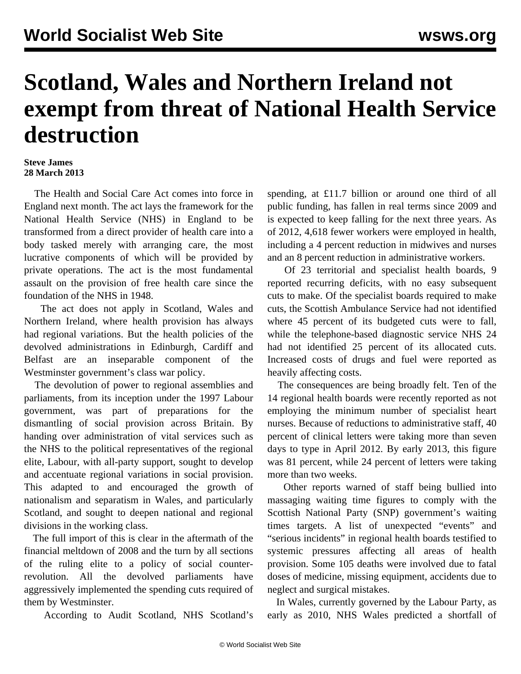## **Scotland, Wales and Northern Ireland not exempt from threat of National Health Service destruction**

## **Steve James 28 March 2013**

 The Health and Social Care Act comes into force in England next month. The act lays the framework for the National Health Service (NHS) in England to be transformed from a direct provider of health care into a body tasked merely with arranging care, the most lucrative components of which will be provided by private operations. The act is the most fundamental assault on the provision of free health care since the foundation of the NHS in 1948.

 The act does not apply in Scotland, Wales and Northern Ireland, where health provision has always had regional variations. But the health policies of the devolved administrations in Edinburgh, Cardiff and Belfast are an inseparable component of the Westminster government's class war policy.

 The devolution of power to regional assemblies and parliaments, from its inception under the 1997 Labour government, was part of preparations for the dismantling of social provision across Britain. By handing over administration of vital services such as the NHS to the political representatives of the regional elite, Labour, with all-party support, sought to develop and accentuate regional variations in social provision. This adapted to and encouraged the growth of nationalism and separatism in Wales, and particularly Scotland, and sought to deepen national and regional divisions in the working class.

 The full import of this is clear in the aftermath of the financial meltdown of 2008 and the turn by all sections of the ruling elite to a policy of social counterrevolution. All the devolved parliaments have aggressively implemented the spending cuts required of them by Westminster.

According to Audit Scotland, NHS Scotland's

spending, at £11.7 billion or around one third of all public funding, has fallen in real terms since 2009 and is expected to keep falling for the next three years. As of 2012, 4,618 fewer workers were employed in health, including a 4 percent reduction in midwives and nurses and an 8 percent reduction in administrative workers.

 Of 23 territorial and specialist health boards, 9 reported recurring deficits, with no easy subsequent cuts to make. Of the specialist boards required to make cuts, the Scottish Ambulance Service had not identified where 45 percent of its budgeted cuts were to fall, while the telephone-based diagnostic service NHS 24 had not identified 25 percent of its allocated cuts. Increased costs of drugs and fuel were reported as heavily affecting costs.

 The consequences are being broadly felt. Ten of the 14 regional health boards were recently reported as not employing the minimum number of specialist heart nurses. Because of reductions to administrative staff, 40 percent of clinical letters were taking more than seven days to type in April 2012. By early 2013, this figure was 81 percent, while 24 percent of letters were taking more than two weeks.

 Other reports warned of staff being bullied into massaging waiting time figures to comply with the Scottish National Party (SNP) government's waiting times targets. A list of unexpected "events" and "serious incidents" in regional health boards testified to systemic pressures affecting all areas of health provision. Some 105 deaths were involved due to fatal doses of medicine, missing equipment, accidents due to neglect and surgical mistakes.

 In Wales, currently governed by the Labour Party, as early as 2010, NHS Wales predicted a shortfall of